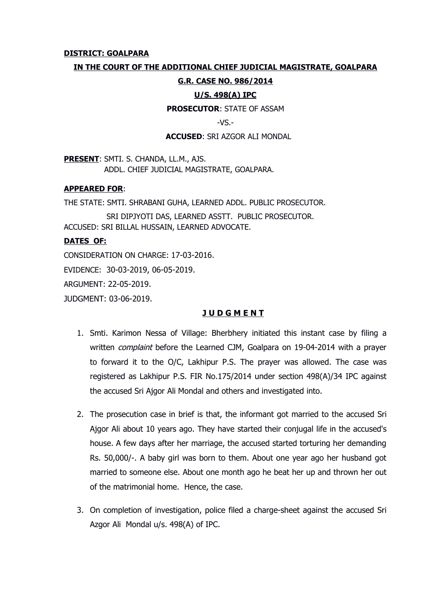### **DISTRICT: GOALPARA**

### **IN THE COURT OF THE ADDITIONAL CHIEF JUDICIAL MAGISTRATE, GOALPARA**

### **G.R. CASE NO. 986/2014**

## **U/S. 498(A) IPC**

**PROSECUTOR**: STATE OF ASSAM

 $-VS -$ 

#### **ACCUSED**: SRI AZGOR ALI MONDAL

**PRESENT**: SMTI. S. CHANDA, LL.M., AJS. ADDL. CHIEF JUDICIAL MAGISTRATE, GOALPARA.

### **APPEARED FOR**:

THE STATE: SMTI. SHRABANI GUHA, LEARNED ADDL. PUBLIC PROSECUTOR. SRI DIPJYOTI DAS, LEARNED ASSTT. PUBLIC PROSECUTOR. ACCUSED: SRI BILLAL HUSSAIN, LEARNED ADVOCATE.

# **DATES OF:**

CONSIDERATION ON CHARGE: 17-03-2016.

EVIDENCE: 30-03-2019, 06-05-2019.

ARGUMENT: 22-05-2019.

JUDGMENT: 03-06-2019.

## **J U D G M E N T**

- 1. Smti. Karimon Nessa of Village: Bherbhery initiated this instant case by filing a written *complaint* before the Learned CJM, Goalpara on 19-04-2014 with a prayer to forward it to the O/C, Lakhipur P.S. The prayer was allowed. The case was registered as Lakhipur P.S. FIR No.175/2014 under section 498(A)/34 IPC against the accused Sri Ajgor Ali Mondal and others and investigated into.
- 2. The prosecution case in brief is that, the informant got married to the accused Sri Ajgor Ali about 10 years ago. They have started their conjugal life in the accused's house. A few days after her marriage, the accused started torturing her demanding Rs. 50,000/-. A baby girl was born to them. About one year ago her husband got married to someone else. About one month ago he beat her up and thrown her out of the matrimonial home. Hence, the case.
- 3. On completion of investigation, police filed a charge-sheet against the accused Sri Azgor Ali Mondal u/s. 498(A) of IPC.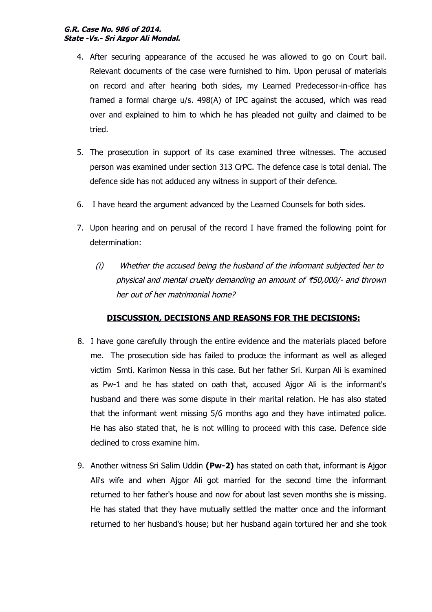- 4. After securing appearance of the accused he was allowed to go on Court bail. Relevant documents of the case were furnished to him. Upon perusal of materials on record and after hearing both sides, my Learned Predecessor-in-office has framed a formal charge u/s. 498(A) of IPC against the accused, which was read over and explained to him to which he has pleaded not guilty and claimed to be tried.
- 5. The prosecution in support of its case examined three witnesses. The accused person was examined under section 313 CrPC. The defence case is total denial. The defence side has not adduced any witness in support of their defence.
- 6. I have heard the argument advanced by the Learned Counsels for both sides.
- 7. Upon hearing and on perusal of the record I have framed the following point for determination:
	- (i) Whether the accused being the husband of the informant subjected her to physical and mental cruelty demanding an amount of  $\overline{50,000}$  and thrown her out of her matrimonial home?

# **DISCUSSION, DECISIONS AND REASONS FOR THE DECISIONS:**

- 8. I have gone carefully through the entire evidence and the materials placed before me. The prosecution side has failed to produce the informant as well as alleged victim Smti. Karimon Nessa in this case. But her father Sri. Kurpan Ali is examined as Pw-1 and he has stated on oath that, accused Ajgor Ali is the informant's husband and there was some dispute in their marital relation. He has also stated that the informant went missing 5/6 months ago and they have intimated police. He has also stated that, he is not willing to proceed with this case. Defence side declined to cross examine him.
- 9. Another witness Sri Salim Uddin **(Pw-2)** has stated on oath that, informant is Ajgor Ali's wife and when Ajgor Ali got married for the second time the informant returned to her father's house and now for about last seven months she is missing. He has stated that they have mutually settled the matter once and the informant returned to her husband's house; but her husband again tortured her and she took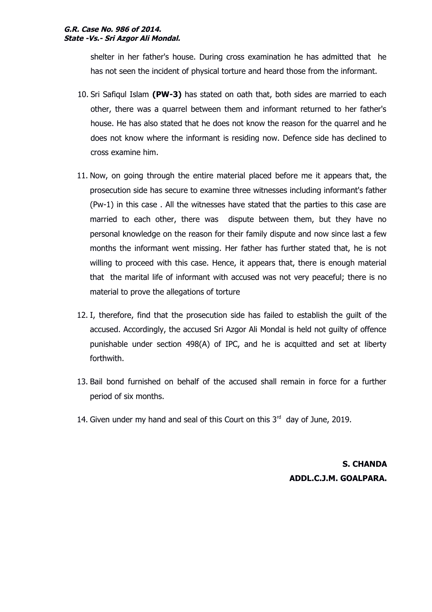#### **G.R. Case No. 986 of 2014. State -Vs.- Sri Azgor Ali Mondal.**

shelter in her father's house. During cross examination he has admitted that he has not seen the incident of physical torture and heard those from the informant.

- 10. Sri Safiqul Islam **(PW-3)** has stated on oath that, both sides are married to each other, there was a quarrel between them and informant returned to her father's house. He has also stated that he does not know the reason for the quarrel and he does not know where the informant is residing now. Defence side has declined to cross examine him.
- 11. Now, on going through the entire material placed before me it appears that, the prosecution side has secure to examine three witnesses including informant's father (Pw-1) in this case . All the witnesses have stated that the parties to this case are married to each other, there was dispute between them, but they have no personal knowledge on the reason for their family dispute and now since last a few months the informant went missing. Her father has further stated that, he is not willing to proceed with this case. Hence, it appears that, there is enough material that the marital life of informant with accused was not very peaceful; there is no material to prove the allegations of torture
- 12. I, therefore, find that the prosecution side has failed to establish the guilt of the accused. Accordingly, the accused Sri Azgor Ali Mondal is held not guilty of offence punishable under section 498(A) of IPC, and he is acquitted and set at liberty forthwith.
- 13. Bail bond furnished on behalf of the accused shall remain in force for a further period of six months.
- 14. Given under my hand and seal of this Court on this  $3<sup>rd</sup>$  day of June, 2019.

**S. CHANDA ADDL.C.J.M. GOALPARA.**